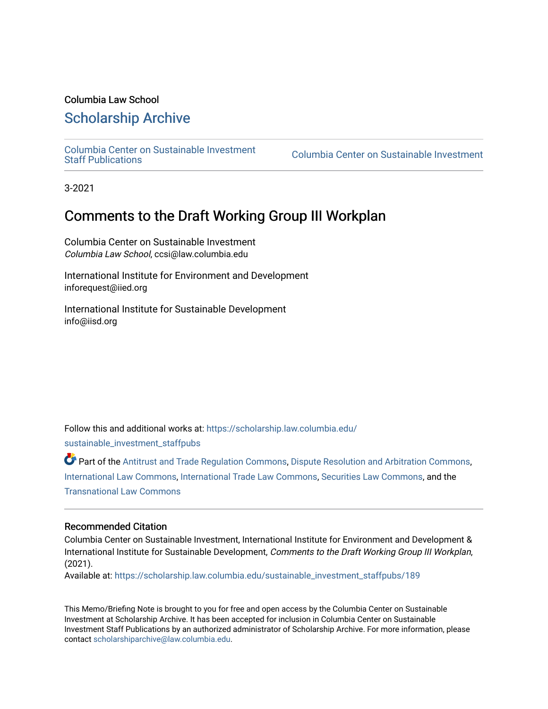#### Columbia Law School

## [Scholarship Archive](https://scholarship.law.columbia.edu/)

[Columbia Center on Sustainable Investment](https://scholarship.law.columbia.edu/sustainable_investment_staffpubs) 

Columbia Center on Sustainable Investment

3-2021

# Comments to the Draft Working Group III Workplan

Columbia Center on Sustainable Investment Columbia Law School, ccsi@law.columbia.edu

International Institute for Environment and Development inforequest@iied.org

International Institute for Sustainable Development info@iisd.org

Follow this and additional works at: [https://scholarship.law.columbia.edu/](https://scholarship.law.columbia.edu/sustainable_investment_staffpubs?utm_source=scholarship.law.columbia.edu%2Fsustainable_investment_staffpubs%2F189&utm_medium=PDF&utm_campaign=PDFCoverPages)

[sustainable\\_investment\\_staffpubs](https://scholarship.law.columbia.edu/sustainable_investment_staffpubs?utm_source=scholarship.law.columbia.edu%2Fsustainable_investment_staffpubs%2F189&utm_medium=PDF&utm_campaign=PDFCoverPages)

Part of the [Antitrust and Trade Regulation Commons,](http://network.bepress.com/hgg/discipline/911?utm_source=scholarship.law.columbia.edu%2Fsustainable_investment_staffpubs%2F189&utm_medium=PDF&utm_campaign=PDFCoverPages) [Dispute Resolution and Arbitration Commons,](http://network.bepress.com/hgg/discipline/890?utm_source=scholarship.law.columbia.edu%2Fsustainable_investment_staffpubs%2F189&utm_medium=PDF&utm_campaign=PDFCoverPages) [International Law Commons](http://network.bepress.com/hgg/discipline/609?utm_source=scholarship.law.columbia.edu%2Fsustainable_investment_staffpubs%2F189&utm_medium=PDF&utm_campaign=PDFCoverPages), [International Trade Law Commons,](http://network.bepress.com/hgg/discipline/848?utm_source=scholarship.law.columbia.edu%2Fsustainable_investment_staffpubs%2F189&utm_medium=PDF&utm_campaign=PDFCoverPages) [Securities Law Commons,](http://network.bepress.com/hgg/discipline/619?utm_source=scholarship.law.columbia.edu%2Fsustainable_investment_staffpubs%2F189&utm_medium=PDF&utm_campaign=PDFCoverPages) and the [Transnational Law Commons](http://network.bepress.com/hgg/discipline/1123?utm_source=scholarship.law.columbia.edu%2Fsustainable_investment_staffpubs%2F189&utm_medium=PDF&utm_campaign=PDFCoverPages)

#### Recommended Citation

Columbia Center on Sustainable Investment, International Institute for Environment and Development & International Institute for Sustainable Development, Comments to the Draft Working Group III Workplan, (2021).

Available at: [https://scholarship.law.columbia.edu/sustainable\\_investment\\_staffpubs/189](https://scholarship.law.columbia.edu/sustainable_investment_staffpubs/189?utm_source=scholarship.law.columbia.edu%2Fsustainable_investment_staffpubs%2F189&utm_medium=PDF&utm_campaign=PDFCoverPages) 

This Memo/Briefing Note is brought to you for free and open access by the Columbia Center on Sustainable Investment at Scholarship Archive. It has been accepted for inclusion in Columbia Center on Sustainable Investment Staff Publications by an authorized administrator of Scholarship Archive. For more information, please contact [scholarshiparchive@law.columbia.edu.](mailto:scholarshiparchive@law.columbia.edu)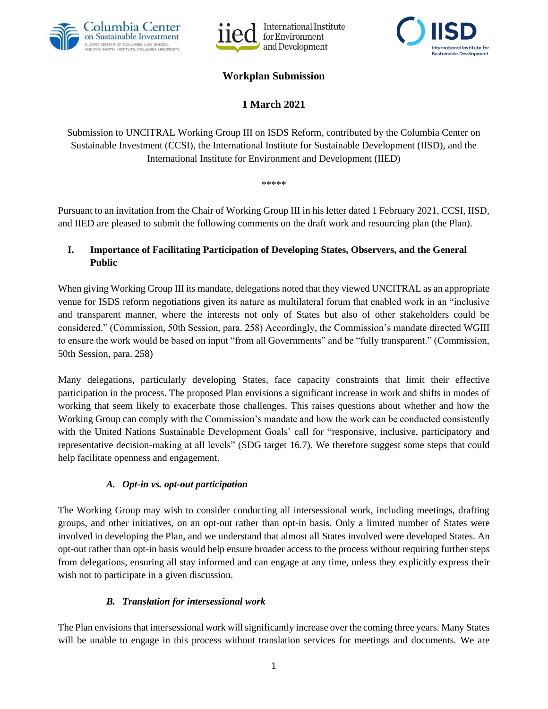





## **Workplan Submission**

**1 March 2021**

Submission to UNCITRAL Working Group III on ISDS Reform, contributed by the Columbia Center on Sustainable Investment (CCSI), the International Institute for Sustainable Development (IISD), and the International Institute for Environment and Development (IIED)

\*\*\*\*\*

Pursuant to an invitation from the Chair of Working Group III in his letter dated 1 February 2021, CCSI, IISD, and IIED are pleased to submit the following comments on the draft work and resourcing plan (the Plan).

#### **I. Importance of Facilitating Participation of Developing States, Observers, and the General Public**

When giving Working Group III its mandate, delegations noted that they viewed UNCITRAL as an appropriate venue for ISDS reform negotiations given its nature as multilateral forum that enabled work in an "inclusive and transparent manner, where the interests not only of States but also of other stakeholders could be considered." (Commission, 50th Session, para. 258) Accordingly, the Commission's mandate directed WGIII to ensure the work would be based on input "from all Governments" and be "fully transparent." (Commission, 50th Session, para. 258)

Many delegations, particularly developing States, face capacity constraints that limit their effective participation in the process. The proposed Plan envisions a significant increase in work and shifts in modes of working that seem likely to exacerbate those challenges. This raises questions about whether and how the Working Group can comply with the Commission's mandate and how the work can be conducted consistently with the United Nations Sustainable Development Goals' call for "responsive, inclusive, participatory and representative decision-making at all levels" (SDG target 16.7). We therefore suggest some steps that could help facilitate openness and engagement.

#### *A. Opt-in vs. opt-out participation*

The Working Group may wish to consider conducting all intersessional work, including meetings, drafting groups, and other initiatives, on an opt-out rather than opt-in basis. Only a limited number of States were involved in developing the Plan, and we understand that almost all States involved were developed States. An opt-out rather than opt-in basis would help ensure broader access to the process without requiring further steps from delegations, ensuring all stay informed and can engage at any time, unless they explicitly express their wish not to participate in a given discussion.

## *B. Translation for intersessional work*

The Plan envisions that intersessional work will significantly increase over the coming three years. Many States will be unable to engage in this process without translation services for meetings and documents. We are